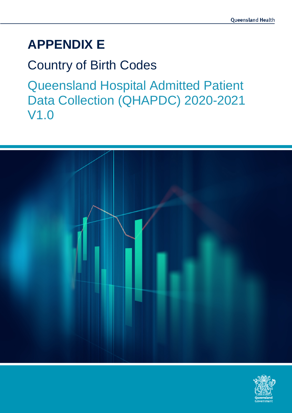# **APPENDIX E**

# Country of Birth Codes

Queensland Hospital Admitted Patient Data Collection (QHAPDC) 2020-2021 V1.0



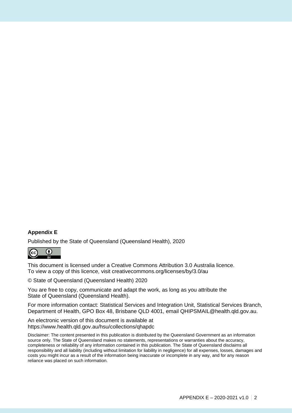#### **Appendix E**

Published by the State of Queensland (Queensland Health), 2020



This document is licensed under a Creative Commons Attribution 3.0 Australia licence. To view a copy of this licence, visit creativecommons.org/licenses/by/3.0/au

© State of Queensland (Queensland Health) 2020

You are free to copy, communicate and adapt the work, as long as you attribute the State of Queensland (Queensland Health).

For more information contact: Statistical Services and Integration Unit, Statistical Services Branch, Department of Health, GPO Box 48, Brisbane QLD 4001, email QHIPSMAIL@health.qld.gov.au.

An electronic version of this document is available at https://www.health.qld.gov.au/hsu/collections/qhapdc

Disclaimer: The content presented in this publication is distributed by the Queensland Government as an information source only. The State of Queensland makes no statements, representations or warranties about the accuracy, completeness or reliability of any information contained in this publication. The State of Queensland disclaims all responsibility and all liability (including without limitation for liability in negligence) for all expenses, losses, damages and costs you might incur as a result of the information being inaccurate or incomplete in any way, and for any reason reliance was placed on such information.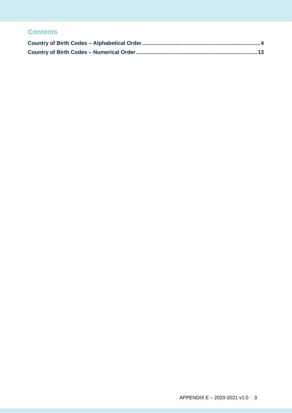### **Contents**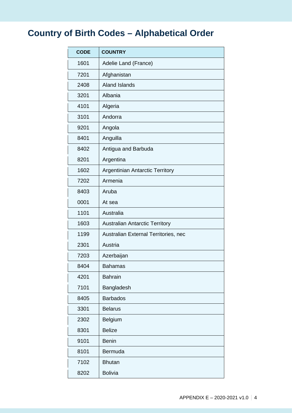## <span id="page-3-0"></span>**Country of Birth Codes – Alphabetical Order**

| <b>CODE</b> | <b>COUNTRY</b>                         |
|-------------|----------------------------------------|
| 1601        | Adelie Land (France)                   |
| 7201        | Afghanistan                            |
| 2408        | <b>Aland Islands</b>                   |
| 3201        | Albania                                |
| 4101        | Algeria                                |
| 3101        | Andorra                                |
| 9201        | Angola                                 |
| 8401        | Anguilla                               |
| 8402        | Antigua and Barbuda                    |
| 8201        | Argentina                              |
| 1602        | <b>Argentinian Antarctic Territory</b> |
| 7202        | Armenia                                |
| 8403        | Aruba                                  |
| 0001        | At sea                                 |
| 1101        | Australia                              |
| 1603        | <b>Australian Antarctic Territory</b>  |
| 1199        | Australian External Territories, nec   |
| 2301        | Austria                                |
| 7203        | Azerbaijan                             |
| 8404        | <b>Bahamas</b>                         |
| 4201        | <b>Bahrain</b>                         |
| 7101        | Bangladesh                             |
| 8405        | <b>Barbados</b>                        |
| 3301        | <b>Belarus</b>                         |
| 2302        | Belgium                                |
| 8301        | <b>Belize</b>                          |
| 9101        | <b>Benin</b>                           |
| 8101        | Bermuda                                |
| 7102        | <b>Bhutan</b>                          |
| 8202        | <b>Bolivia</b>                         |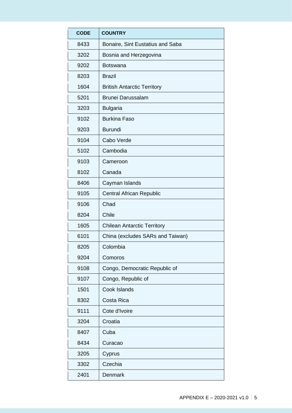| <b>CODE</b> | <b>COUNTRY</b>                     |
|-------------|------------------------------------|
| 8433        | Bonaire, Sint Eustatius and Saba   |
| 3202        | Bosnia and Herzegovina             |
| 9202        | <b>Botswana</b>                    |
| 8203        | <b>Brazil</b>                      |
| 1604        | <b>British Antarctic Territory</b> |
| 5201        | <b>Brunei Darussalam</b>           |
| 3203        | <b>Bulgaria</b>                    |
| 9102        | <b>Burkina Faso</b>                |
| 9203        | <b>Burundi</b>                     |
| 9104        | Cabo Verde                         |
| 5102        | Cambodia                           |
| 9103        | Cameroon                           |
| 8102        | Canada                             |
| 8406        | Cayman Islands                     |
| 9105        | <b>Central African Republic</b>    |
| 9106        | Chad                               |
| 8204        | Chile                              |
| 1605        | <b>Chilean Antarctic Territory</b> |
| 6101        | China (excludes SARs and Taiwan)   |
| 8205        | Colombia                           |
| 9204        | Comoros                            |
| 9108        | Congo, Democratic Republic of      |
| 9107        | Congo, Republic of                 |
| 1501        | Cook Islands                       |
| 8302        | Costa Rica                         |
| 9111        | Cote d'Ivoire                      |
| 3204        | Croatia                            |
| 8407        | Cuba                               |
| 8434        | Curacao                            |
| 3205        | Cyprus                             |
| 3302        | Czechia                            |
| 2401        | Denmark                            |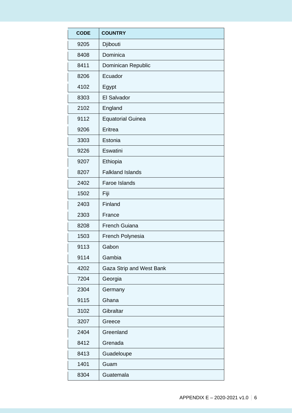| <b>CODE</b> | <b>COUNTRY</b>           |
|-------------|--------------------------|
| 9205        | Djibouti                 |
| 8408        | Dominica                 |
| 8411        | Dominican Republic       |
| 8206        | Ecuador                  |
| 4102        | Egypt                    |
| 8303        | El Salvador              |
| 2102        | England                  |
| 9112        | <b>Equatorial Guinea</b> |
| 9206        | Eritrea                  |
| 3303        | Estonia                  |
| 9226        | Eswatini                 |
| 9207        | Ethiopia                 |
| 8207        | <b>Falkland Islands</b>  |
| 2402        | Faroe Islands            |
| 1502        | Fiji                     |
| 2403        | Finland                  |
| 2303        | France                   |
| 8208        | French Guiana            |
| 1503        | French Polynesia         |
| 9113        | Gabon                    |
| 9114        | Gambia                   |
| 4202        | Gaza Strip and West Bank |
| 7204        | Georgia                  |
| 2304        | Germany                  |
| 9115        | Ghana                    |
| 3102        | Gibraltar                |
| 3207        | Greece                   |
| 2404        | Greenland                |
| 8412        | Grenada                  |
| 8413        | Guadeloupe               |
| 1401        | Guam                     |
| 8304        | Guatemala                |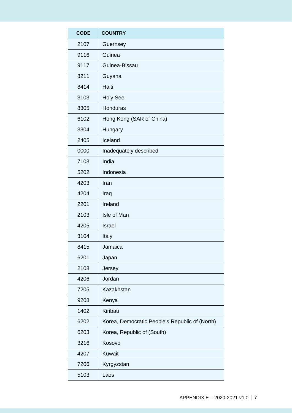| <b>CODE</b> | <b>COUNTRY</b>                                 |
|-------------|------------------------------------------------|
| 2107        | Guernsey                                       |
| 9116        | Guinea                                         |
| 9117        | Guinea-Bissau                                  |
| 8211        | Guyana                                         |
| 8414        | Haiti                                          |
| 3103        | <b>Holy See</b>                                |
| 8305        | Honduras                                       |
| 6102        | Hong Kong (SAR of China)                       |
| 3304        | Hungary                                        |
| 2405        | Iceland                                        |
| 0000        | Inadequately described                         |
| 7103        | India                                          |
| 5202        | Indonesia                                      |
| 4203        | Iran                                           |
| 4204        | Iraq                                           |
| 2201        | Ireland                                        |
| 2103        | Isle of Man                                    |
| 4205        | <b>Israel</b>                                  |
| 3104        | Italy                                          |
| 8415        | Jamaica                                        |
| 6201        | Japan                                          |
| 2108        | Jersey                                         |
| 4206        | Jordan                                         |
| 7205        | Kazakhstan                                     |
| 9208        | Kenya                                          |
| 1402        | Kiribati                                       |
| 6202        | Korea, Democratic People's Republic of (North) |
| 6203        | Korea, Republic of (South)                     |
| 3216        | Kosovo                                         |
| 4207        | <b>Kuwait</b>                                  |
| 7206        | Kyrgyzstan                                     |
| 5103        | Laos                                           |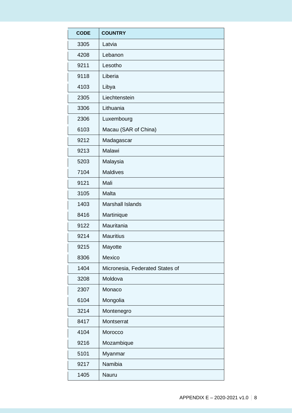| <b>CODE</b> | <b>COUNTRY</b>                  |
|-------------|---------------------------------|
| 3305        | Latvia                          |
| 4208        | Lebanon                         |
| 9211        | Lesotho                         |
| 9118        | Liberia                         |
| 4103        | Libya                           |
| 2305        | Liechtenstein                   |
| 3306        | Lithuania                       |
| 2306        | Luxembourg                      |
| 6103        | Macau (SAR of China)            |
| 9212        | Madagascar                      |
| 9213        | Malawi                          |
| 5203        | Malaysia                        |
| 7104        | <b>Maldives</b>                 |
| 9121        | Mali                            |
| 3105        | Malta                           |
| 1403        | <b>Marshall Islands</b>         |
| 8416        | Martinique                      |
| 9122        | Mauritania                      |
| 9214        | <b>Mauritius</b>                |
| 9215        | Mayotte                         |
| 8306        | Mexico                          |
| 1404        | Micronesia, Federated States of |
| 3208        | Moldova                         |
| 2307        | Monaco                          |
| 6104        | Mongolia                        |
| 3214        | Montenegro                      |
| 8417        | Montserrat                      |
| 4104        | Morocco                         |
| 9216        | Mozambique                      |
| 5101        | Myanmar                         |
| 9217        | Namibia                         |
| 1405        | Nauru                           |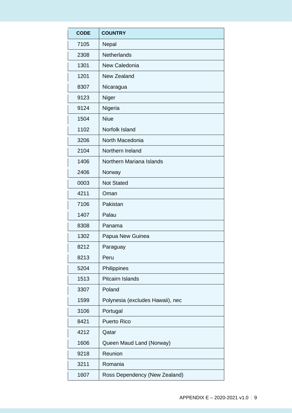| <b>CODE</b> | <b>COUNTRY</b>                   |
|-------------|----------------------------------|
| 7105        | Nepal                            |
| 2308        | Netherlands                      |
| 1301        | New Caledonia                    |
| 1201        | New Zealand                      |
| 8307        | Nicaragua                        |
| 9123        | Niger                            |
| 9124        | Nigeria                          |
| 1504        | <b>Niue</b>                      |
| 1102        | Norfolk Island                   |
| 3206        | North Macedonia                  |
| 2104        | Northern Ireland                 |
| 1406        | Northern Mariana Islands         |
| 2406        | Norway                           |
| 0003        | <b>Not Stated</b>                |
| 4211        | Oman                             |
| 7106        | Pakistan                         |
| 1407        | Palau                            |
| 8308        | Panama                           |
| 1302        | Papua New Guinea                 |
| 8212        | Paraguay                         |
| 8213        | Peru                             |
| 5204        | Philippines                      |
| 1513        | <b>Pitcairn Islands</b>          |
| 3307        | Poland                           |
| 1599        | Polynesia (excludes Hawaii), nec |
| 3106        | Portugal                         |
| 8421        | <b>Puerto Rico</b>               |
| 4212        | Qatar                            |
| 1606        | Queen Maud Land (Norway)         |
| 9218        | Reunion                          |
| 3211        | Romania                          |
| 1607        | Ross Dependency (New Zealand)    |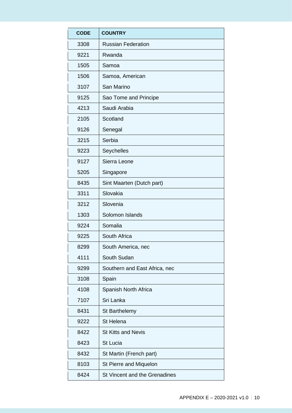| <b>CODE</b> | <b>COUNTRY</b>                |
|-------------|-------------------------------|
| 3308        | <b>Russian Federation</b>     |
| 9221        | Rwanda                        |
| 1505        | Samoa                         |
| 1506        | Samoa, American               |
| 3107        | San Marino                    |
| 9125        | Sao Tome and Principe         |
| 4213        | Saudi Arabia                  |
| 2105        | Scotland                      |
| 9126        | Senegal                       |
| 3215        | Serbia                        |
| 9223        | Seychelles                    |
| 9127        | Sierra Leone                  |
| 5205        | Singapore                     |
| 8435        | Sint Maarten (Dutch part)     |
| 3311        | Slovakia                      |
| 3212        | Slovenia                      |
| 1303        | Solomon Islands               |
| 9224        | Somalia                       |
| 9225        | South Africa                  |
| 8299        | South America, nec            |
| 4111        | South Sudan                   |
| 9299        | Southern and East Africa, nec |
| 3108        | Spain                         |
| 4108        | Spanish North Africa          |
| 7107        | Sri Lanka                     |
| 8431        | St Barthelemy                 |
| 9222        | St Helena                     |
| 8422        | <b>St Kitts and Nevis</b>     |
| 8423        | <b>St Lucia</b>               |
| 8432        | St Martin (French part)       |
| 8103        | St Pierre and Miquelon        |
| 8424        | St Vincent and the Grenadines |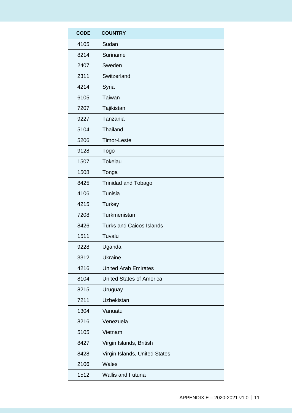| <b>CODE</b> | <b>COUNTRY</b>                  |
|-------------|---------------------------------|
| 4105        | Sudan                           |
| 8214        | Suriname                        |
| 2407        | Sweden                          |
| 2311        | Switzerland                     |
| 4214        | Syria                           |
| 6105        | Taiwan                          |
| 7207        | Tajikistan                      |
| 9227        | Tanzania                        |
| 5104        | <b>Thailand</b>                 |
| 5206        | <b>Timor-Leste</b>              |
| 9128        | Togo                            |
| 1507        | Tokelau                         |
| 1508        | Tonga                           |
| 8425        | <b>Trinidad and Tobago</b>      |
| 4106        | Tunisia                         |
| 4215        | <b>Turkey</b>                   |
| 7208        | Turkmenistan                    |
| 8426        | <b>Turks and Caicos Islands</b> |
| 1511        | Tuvalu                          |
| 9228        | Uganda                          |
| 3312        | <b>Ukraine</b>                  |
| 4216        | <b>United Arab Emirates</b>     |
| 8104        | <b>United States of America</b> |
| 8215        | Uruguay                         |
| 7211        | Uzbekistan                      |
| 1304        | Vanuatu                         |
| 8216        | Venezuela                       |
| 5105        | Vietnam                         |
| 8427        | Virgin Islands, British         |
| 8428        | Virgin Islands, United States   |
| 2106        | <b>Wales</b>                    |
| 1512        | <b>Wallis and Futuna</b>        |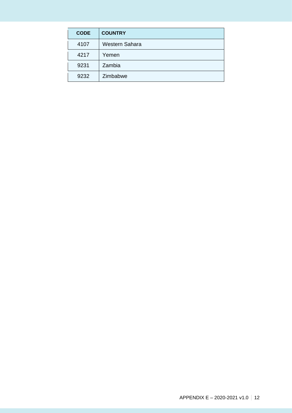| <b>CODE</b> | <b>COUNTRY</b>        |
|-------------|-----------------------|
| 4107        | <b>Western Sahara</b> |
| 4217        | Yemen                 |
| 9231        | Zambia                |
| 9232        | Zimbabwe              |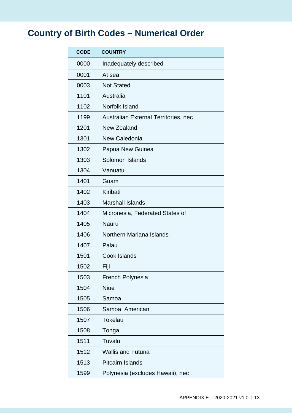## <span id="page-12-0"></span>**Country of Birth Codes – Numerical Order**

| <b>CODE</b> | <b>COUNTRY</b>                       |
|-------------|--------------------------------------|
| 0000        | Inadequately described               |
| 0001        | At sea                               |
| 0003        | <b>Not Stated</b>                    |
| 1101        | Australia                            |
| 1102        | Norfolk Island                       |
| 1199        | Australian External Territories, nec |
| 1201        | New Zealand                          |
| 1301        | New Caledonia                        |
| 1302        | Papua New Guinea                     |
| 1303        | Solomon Islands                      |
| 1304        | Vanuatu                              |
| 1401        | Guam                                 |
| 1402        | Kiribati                             |
| 1403        | <b>Marshall Islands</b>              |
| 1404        | Micronesia, Federated States of      |
| 1405        | <b>Nauru</b>                         |
| 1406        | Northern Mariana Islands             |
| 1407        | Palau                                |
| 1501        | Cook Islands                         |
| 1502        | Fiji                                 |
| 1503        | <b>French Polynesia</b>              |
| 1504        | <b>Niue</b>                          |
| 1505        | Samoa                                |
| 1506        | Samoa, American                      |
| 1507        | <b>Tokelau</b>                       |
| 1508        | Tonga                                |
| 1511        | Tuvalu                               |
| 1512        | <b>Wallis and Futuna</b>             |
| 1513        | <b>Pitcairn Islands</b>              |
| 1599        | Polynesia (excludes Hawaii), nec     |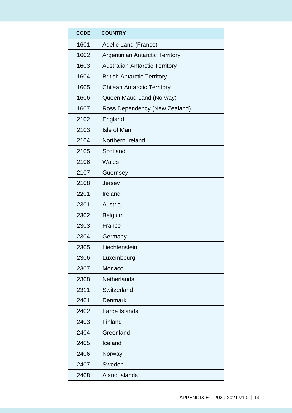| <b>CODE</b> | <b>COUNTRY</b>                         |
|-------------|----------------------------------------|
| 1601        | Adelie Land (France)                   |
| 1602        | <b>Argentinian Antarctic Territory</b> |
| 1603        | <b>Australian Antarctic Territory</b>  |
| 1604        | <b>British Antarctic Territory</b>     |
| 1605        | <b>Chilean Antarctic Territory</b>     |
| 1606        | Queen Maud Land (Norway)               |
| 1607        | Ross Dependency (New Zealand)          |
| 2102        | England                                |
| 2103        | Isle of Man                            |
| 2104        | Northern Ireland                       |
| 2105        | Scotland                               |
| 2106        | <b>Wales</b>                           |
| 2107        | Guernsey                               |
| 2108        | Jersey                                 |
| 2201        | Ireland                                |
| 2301        | Austria                                |
| 2302        | <b>Belgium</b>                         |
| 2303        | France                                 |
| 2304        | Germany                                |
| 2305        | Liechtenstein                          |
| 2306        | Luxembourg                             |
| 2307        | Monaco                                 |
| 2308        | <b>Netherlands</b>                     |
| 2311        | Switzerland                            |
| 2401        | Denmark                                |
| 2402        | <b>Faroe Islands</b>                   |
| 2403        | Finland                                |
| 2404        | Greenland                              |
| 2405        | Iceland                                |
| 2406        | Norway                                 |
| 2407        | Sweden                                 |
| 2408        | <b>Aland Islands</b>                   |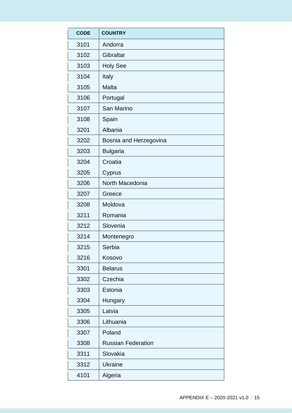| <b>CODE</b> | <b>COUNTRY</b>            |
|-------------|---------------------------|
| 3101        | Andorra                   |
| 3102        | Gibraltar                 |
| 3103        | <b>Holy See</b>           |
| 3104        | Italy                     |
| 3105        | Malta                     |
| 3106        | Portugal                  |
| 3107        | San Marino                |
| 3108        | Spain                     |
| 3201        | Albania                   |
| 3202        | Bosnia and Herzegovina    |
| 3203        | <b>Bulgaria</b>           |
| 3204        | Croatia                   |
| 3205        | Cyprus                    |
| 3206        | North Macedonia           |
| 3207        | Greece                    |
| 3208        | Moldova                   |
| 3211        | Romania                   |
| 3212        | Slovenia                  |
| 3214        | Montenegro                |
| 3215        | Serbia                    |
| 3216        | Kosovo                    |
| 3301        | <b>Belarus</b>            |
| 3302        | Czechia                   |
| 3303        | Estonia                   |
| 3304        | Hungary                   |
| 3305        | Latvia                    |
| 3306        | Lithuania                 |
| 3307        | Poland                    |
| 3308        | <b>Russian Federation</b> |
| 3311        | Slovakia                  |
| 3312        | <b>Ukraine</b>            |
| 4101        | Algeria                   |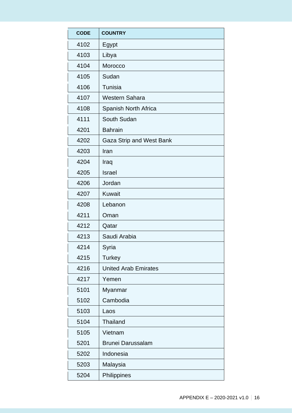| <b>CODE</b> | <b>COUNTRY</b>              |
|-------------|-----------------------------|
| 4102        | Egypt                       |
| 4103        | Libya                       |
| 4104        | Morocco                     |
| 4105        | Sudan                       |
| 4106        | Tunisia                     |
| 4107        | <b>Western Sahara</b>       |
| 4108        | Spanish North Africa        |
| 4111        | South Sudan                 |
| 4201        | <b>Bahrain</b>              |
| 4202        | Gaza Strip and West Bank    |
| 4203        | Iran                        |
| 4204        | Iraq                        |
| 4205        | <b>Israel</b>               |
| 4206        | Jordan                      |
| 4207        | <b>Kuwait</b>               |
| 4208        | Lebanon                     |
| 4211        | Oman                        |
| 4212        | Qatar                       |
| 4213        | Saudi Arabia                |
| 4214        | Syria                       |
| 4215        | <b>Turkey</b>               |
| 4216        | <b>United Arab Emirates</b> |
| 4217        | Yemen                       |
| 5101        | Myanmar                     |
| 5102        | Cambodia                    |
| 5103        | Laos                        |
| 5104        | <b>Thailand</b>             |
| 5105        | Vietnam                     |
| 5201        | <b>Brunei Darussalam</b>    |
| 5202        | Indonesia                   |
| 5203        | Malaysia                    |
| 5204        | Philippines                 |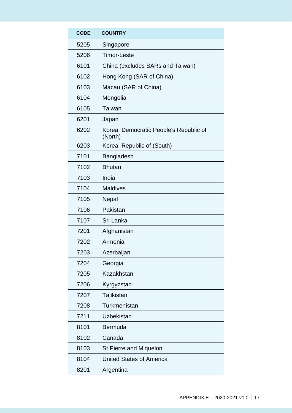| <b>CODE</b> | <b>COUNTRY</b>                                    |
|-------------|---------------------------------------------------|
| 5205        | Singapore                                         |
| 5206        | <b>Timor-Leste</b>                                |
| 6101        | China (excludes SARs and Taiwan)                  |
| 6102        | Hong Kong (SAR of China)                          |
| 6103        | Macau (SAR of China)                              |
| 6104        | Mongolia                                          |
| 6105        | Taiwan                                            |
| 6201        | Japan                                             |
| 6202        | Korea, Democratic People's Republic of<br>(North) |
| 6203        | Korea, Republic of (South)                        |
| 7101        | <b>Bangladesh</b>                                 |
| 7102        | <b>Bhutan</b>                                     |
| 7103        | India                                             |
| 7104        | <b>Maldives</b>                                   |
| 7105        | Nepal                                             |
| 7106        | Pakistan                                          |
| 7107        | Sri Lanka                                         |
| 7201        | Afghanistan                                       |
| 7202        | Armenia                                           |
| 7203        | Azerbaijan                                        |
| 7204        | Georgia                                           |
| 7205        | Kazakhstan                                        |
| 7206        | Kyrgyzstan                                        |
| 7207        | Tajikistan                                        |
| 7208        | Turkmenistan                                      |
| 7211        | <b>Uzbekistan</b>                                 |
| 8101        | <b>Bermuda</b>                                    |
| 8102        | Canada                                            |
| 8103        | St Pierre and Miquelon                            |
| 8104        | <b>United States of America</b>                   |
| 8201        | Argentina                                         |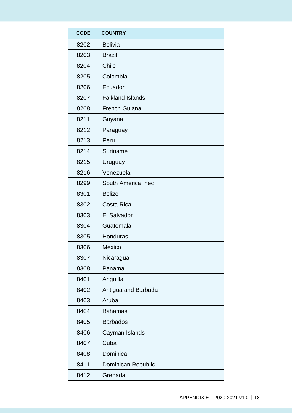| <b>CODE</b> | <b>COUNTRY</b>          |
|-------------|-------------------------|
| 8202        | <b>Bolivia</b>          |
| 8203        | <b>Brazil</b>           |
| 8204        | <b>Chile</b>            |
| 8205        | Colombia                |
| 8206        | Ecuador                 |
| 8207        | <b>Falkland Islands</b> |
| 8208        | <b>French Guiana</b>    |
| 8211        | Guyana                  |
| 8212        | Paraguay                |
| 8213        | Peru                    |
| 8214        | Suriname                |
| 8215        | Uruguay                 |
| 8216        | Venezuela               |
| 8299        | South America, nec      |
| 8301        | <b>Belize</b>           |
| 8302        | Costa Rica              |
| 8303        | <b>El Salvador</b>      |
| 8304        | Guatemala               |
| 8305        | Honduras                |
| 8306        | Mexico                  |
| 8307        | Nicaragua               |
| 8308        | Panama                  |
| 8401        | Anguilla                |
| 8402        | Antigua and Barbuda     |
| 8403        | Aruba                   |
| 8404        | <b>Bahamas</b>          |
| 8405        | <b>Barbados</b>         |
| 8406        | Cayman Islands          |
| 8407        | Cuba                    |
| 8408        | Dominica                |
| 8411        | Dominican Republic      |
| 8412        | Grenada                 |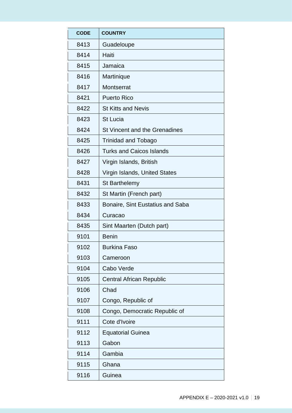| <b>CODE</b> | <b>COUNTRY</b>                   |
|-------------|----------------------------------|
| 8413        | Guadeloupe                       |
| 8414        | Haiti                            |
| 8415        | Jamaica                          |
| 8416        | Martinique                       |
| 8417        | Montserrat                       |
| 8421        | <b>Puerto Rico</b>               |
| 8422        | <b>St Kitts and Nevis</b>        |
| 8423        | <b>St Lucia</b>                  |
| 8424        | St Vincent and the Grenadines    |
| 8425        | <b>Trinidad and Tobago</b>       |
| 8426        | <b>Turks and Caicos Islands</b>  |
| 8427        | Virgin Islands, British          |
| 8428        | Virgin Islands, United States    |
| 8431        | <b>St Barthelemy</b>             |
| 8432        | St Martin (French part)          |
| 8433        | Bonaire, Sint Eustatius and Saba |
| 8434        | Curacao                          |
| 8435        | Sint Maarten (Dutch part)        |
| 9101        | <b>Benin</b>                     |
| 9102        | Burkina Faso                     |
| 9103        | Cameroon                         |
| 9104        | Cabo Verde                       |
| 9105        | <b>Central African Republic</b>  |
| 9106        | Chad                             |
| 9107        | Congo, Republic of               |
| 9108        | Congo, Democratic Republic of    |
| 9111        | Cote d'Ivoire                    |
| 9112        | <b>Equatorial Guinea</b>         |
| 9113        | Gabon                            |
| 9114        | Gambia                           |
| 9115        | Ghana                            |
| 9116        | Guinea                           |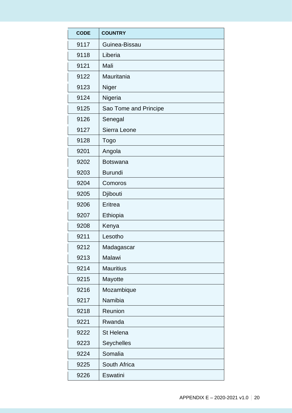| <b>CODE</b> | <b>COUNTRY</b>        |
|-------------|-----------------------|
| 9117        | Guinea-Bissau         |
| 9118        | Liberia               |
| 9121        | Mali                  |
| 9122        | Mauritania            |
| 9123        | Niger                 |
| 9124        | Nigeria               |
| 9125        | Sao Tome and Principe |
| 9126        | Senegal               |
| 9127        | Sierra Leone          |
| 9128        | Togo                  |
| 9201        | Angola                |
| 9202        | <b>Botswana</b>       |
| 9203        | <b>Burundi</b>        |
| 9204        | Comoros               |
| 9205        | Djibouti              |
| 9206        | Eritrea               |
| 9207        | Ethiopia              |
| 9208        | Kenya                 |
| 9211        | Lesotho               |
| 9212        | Madagascar            |
| 9213        | Malawi                |
| 9214        | <b>Mauritius</b>      |
| 9215        | Mayotte               |
| 9216        | Mozambique            |
| 9217        | Namibia               |
| 9218        | Reunion               |
| 9221        | Rwanda                |
| 9222        | <b>St Helena</b>      |
| 9223        | <b>Seychelles</b>     |
| 9224        | Somalia               |
| 9225        | South Africa          |
| 9226        | Eswatini              |